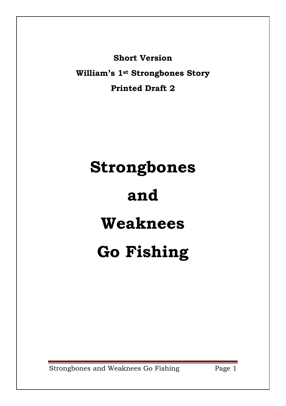**Short Version**

**William's 1st Strongbones Story Printed Draft 2**

## **Strongbones and Weaknees Go Fishing**

Strongbones and Weaknees Go Fishing Page 1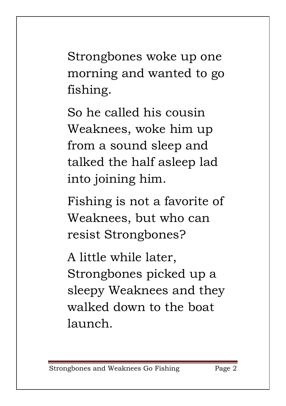Strongbones woke up one morning and wanted to go fishing.

So he called his cousin Weaknees, woke him up from a sound sleep and talked the half asleep lad into joining him.

Fishing is not a favorite of Weaknees, but who can resist Strongbones?

A little while later, Strongbones picked up a sleepy Weaknees and they walked down to the boat launch.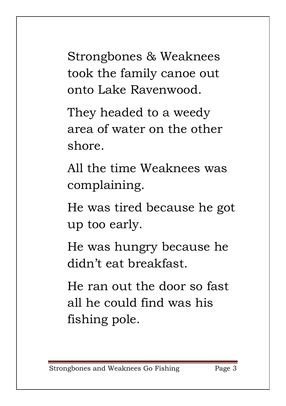Strongbones & Weaknees took the family canoe out onto Lake Ravenwood.

They headed to a weedy area of water on the other shore.

All the time Weaknees was complaining.

He was tired because he got up too early.

He was hungry because he didn't eat breakfast.

He ran out the door so fast all he could find was his fishing pole.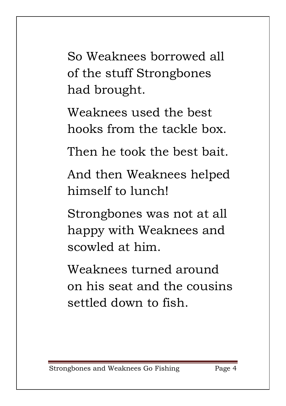So Weaknees borrowed all of the stuff Strongbones had brought.

Weaknees used the best hooks from the tackle box.

Then he took the best bait.

And then Weaknees helped himself to lunch!

Strongbones was not at all happy with Weaknees and scowled at him.

Weaknees turned around on his seat and the cousins settled down to fish.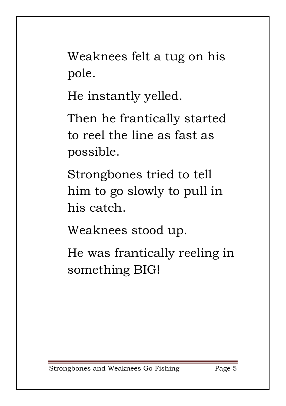Weaknees felt a tug on his pole.

He instantly yelled.

Then he frantically started to reel the line as fast as possible.

Strongbones tried to tell him to go slowly to pull in his catch.

Weaknees stood up.

He was frantically reeling in something BIG!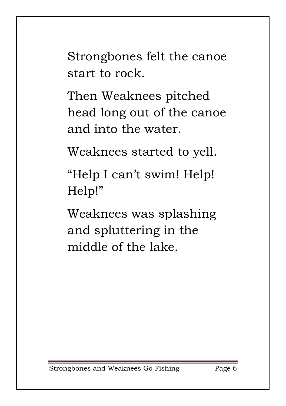Strongbones felt the canoe start to rock.

Then Weaknees pitched head long out of the canoe and into the water.

Weaknees started to yell.

"Help I can't swim! Help! Help!"

Weaknees was splashing and spluttering in the middle of the lake.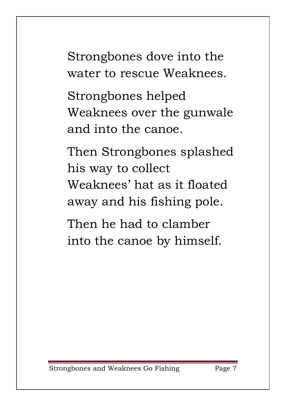Strongbones dove into the water to rescue Weaknees.

Strongbones helped Weaknees over the gunwale and into the canoe.

Then Strongbones splashed his way to collect Weaknees' hat as it floated away and his fishing pole.

Then he had to clamber into the canoe by himself.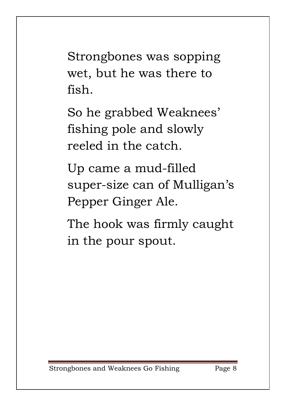Strongbones was sopping wet, but he was there to fish.

So he grabbed Weaknees' fishing pole and slowly reeled in the catch.

Up came a mud-filled super-size can of Mulligan's Pepper Ginger Ale.

The hook was firmly caught in the pour spout.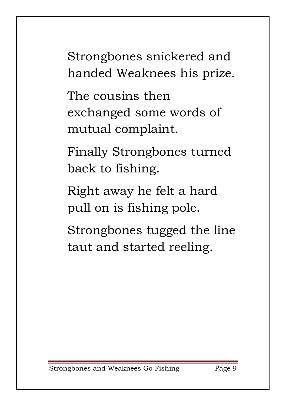Strongbones snickered and handed Weaknees his prize.

The cousins then exchanged some words of mutual complaint.

Finally Strongbones turned back to fishing.

Right away he felt a hard pull on is fishing pole.

Strongbones tugged the line taut and started reeling.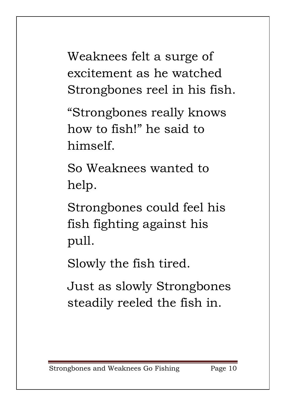Weaknees felt a surge of excitement as he watched Strongbones reel in his fish.

"Strongbones really knows how to fish!" he said to himself.

So Weaknees wanted to help.

Strongbones could feel his fish fighting against his pull.

Slowly the fish tired.

Just as slowly Strongbones steadily reeled the fish in.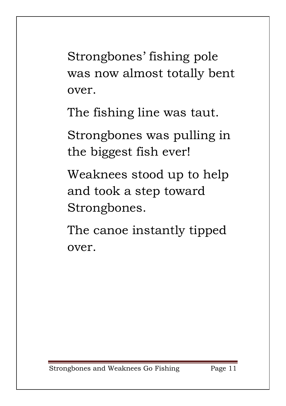Strongbones' fishing pole was now almost totally bent over.

The fishing line was taut.

Strongbones was pulling in the biggest fish ever!

Weaknees stood up to help and took a step toward Strongbones.

The canoe instantly tipped over.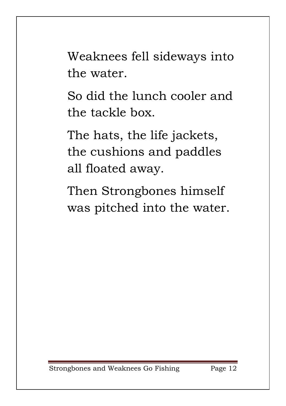Weaknees fell sideways into the water.

So did the lunch cooler and the tackle box.

The hats, the life jackets, the cushions and paddles all floated away.

Then Strongbones himself was pitched into the water.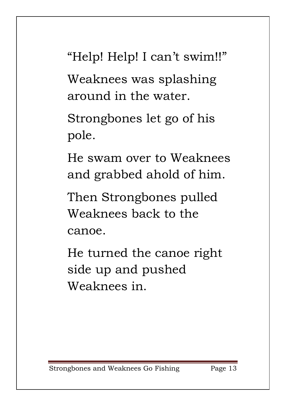"Help! Help! I can't swim!!"

Weaknees was splashing around in the water.

Strongbones let go of his pole.

He swam over to Weaknees and grabbed ahold of him.

Then Strongbones pulled Weaknees back to the canoe.

He turned the canoe right side up and pushed Weaknees in.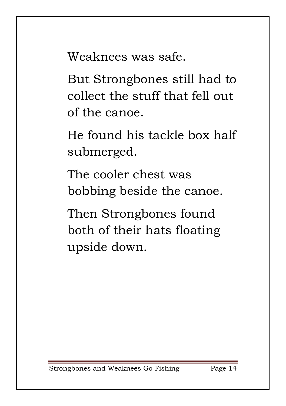Weaknees was safe.

But Strongbones still had to collect the stuff that fell out of the canoe.

He found his tackle box half submerged.

The cooler chest was bobbing beside the canoe.

Then Strongbones found both of their hats floating upside down.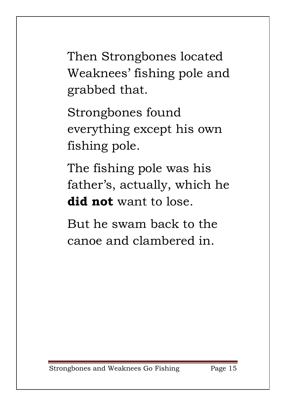Then Strongbones located Weaknees' fishing pole and grabbed that.

Strongbones found everything except his own fishing pole.

The fishing pole was his father's, actually, which he **did not** want to lose.

But he swam back to the canoe and clambered in.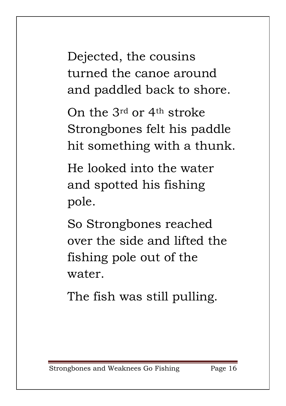Dejected, the cousins turned the canoe around and paddled back to shore.

On the 3rd or 4th stroke Strongbones felt his paddle hit something with a thunk.

He looked into the water and spotted his fishing pole.

So Strongbones reached over the side and lifted the fishing pole out of the water.

The fish was still pulling.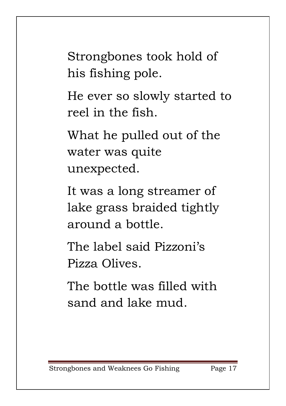Strongbones took hold of his fishing pole.

He ever so slowly started to reel in the fish.

What he pulled out of the water was quite unexpected.

It was a long streamer of lake grass braided tightly around a bottle.

The label said Pizzoni's Pizza Olives.

The bottle was filled with sand and lake mud.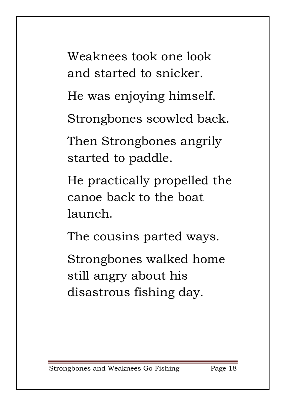Weaknees took one look and started to snicker.

He was enjoying himself.

Strongbones scowled back.

Then Strongbones angrily started to paddle.

He practically propelled the canoe back to the boat launch.

The cousins parted ways.

Strongbones walked home still angry about his disastrous fishing day.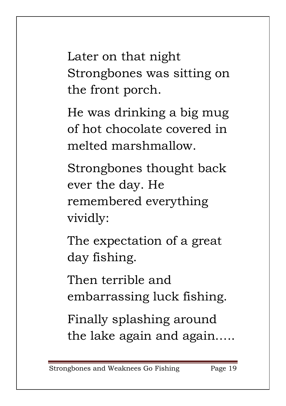Later on that night Strongbones was sitting on the front porch.

He was drinking a big mug of hot chocolate covered in melted marshmallow.

Strongbones thought back ever the day. He remembered everything vividly:

The expectation of a great day fishing.

Then terrible and embarrassing luck fishing.

Finally splashing around the lake again and again…..